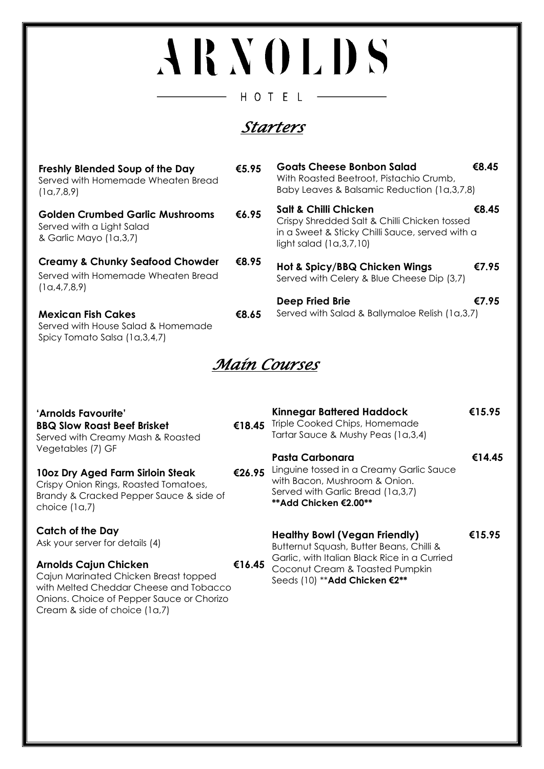## ARNOLDS HOTEL

## *Starters*

 $\overline{\phantom{0}}$ 

| Freshly Blended Soup of the Day<br>Served with Homemade Wheaten Bread<br>(1a,7,8,9)                  | €5.95 | <b>Goats Cheese Bonbon Salad</b><br>With Roasted Beetroot, Pistachio Crumb,<br>Baby Leaves & Balsamic Reduction (1a,3,7,8)                                       | €8.45 |
|------------------------------------------------------------------------------------------------------|-------|------------------------------------------------------------------------------------------------------------------------------------------------------------------|-------|
| <b>Golden Crumbed Garlic Mushrooms</b><br>Served with a Light Salad<br>& Garlic Mayo (1a,3,7)        | €6.95 | <b>Salt &amp; Chilli Chicken</b><br>Crispy Shredded Salt & Chilli Chicken tossed<br>in a Sweet & Sticky Chilli Sauce, served with a<br>light salad $(1a,3,7,10)$ | €8.45 |
| <b>Creamy &amp; Chunky Seafood Chowder</b><br>Served with Homemade Wheaten Bread<br>(1a, 4, 7, 8, 9) | €8.95 | Hot & Spicy/BBQ Chicken Wings<br>Served with Celery & Blue Cheese Dip (3,7)                                                                                      | €7.95 |
|                                                                                                      |       | Deep Fried Brie                                                                                                                                                  | €7.95 |
| <b>Mexican Fish Cakes</b><br>Served with House Salad & Homemade<br>Spicy Tomato Salsa (1a,3,4,7)     | €8.65 | Served with Salad & Ballymaloe Relish (1a,3,7)                                                                                                                   |       |

*Main Courses* 

| 'Arnolds Favourite'<br><b>BBQ Slow Roast Beef Brisket</b><br>Served with Creamy Mash & Roasted<br>Vegetables (7) GF<br>10oz Dry Aged Farm Sirloin Steak<br>Crispy Onion Rings, Roasted Tomatoes,<br>Brandy & Cracked Pepper Sauce & side of<br>choice $(1a,7)$ | €18.45 | <b>Kinnegar Battered Haddock</b><br>€15.95<br>Triple Cooked Chips, Homemade<br>Tartar Sauce & Mushy Peas (1a,3,4)                                                   |        |
|----------------------------------------------------------------------------------------------------------------------------------------------------------------------------------------------------------------------------------------------------------------|--------|---------------------------------------------------------------------------------------------------------------------------------------------------------------------|--------|
|                                                                                                                                                                                                                                                                | €26.95 | Pasta Carbonara<br>Linguine tossed in a Creamy Garlic Sauce<br>with Bacon, Mushroom & Onion.<br>Served with Garlic Bread (1a,3,7)<br>** Add Chicken €2.00**         | €14.45 |
| <b>Catch of the Day</b><br>Ask your server for details (4)<br><b>Arnolds Cajun Chicken</b>                                                                                                                                                                     | €16.45 | <b>Healthy Bowl (Vegan Friendly)</b><br>Butternut Squash, Butter Beans, Chilli &<br>Garlic, with Italian Black Rice in a Curried<br>Coconut Cream & Toasted Pumpkin | €15.95 |
| Cajun Marinated Chicken Breast topped                                                                                                                                                                                                                          |        | Seeds (10) ** Add Chicken €2**                                                                                                                                      |        |

Cajun Marinated Chicken Breast topped with Melted Cheddar Cheese and Tobacco Onions. Choice of Pepper Sauce or Chorizo

Cream & side of choice (1a,7)